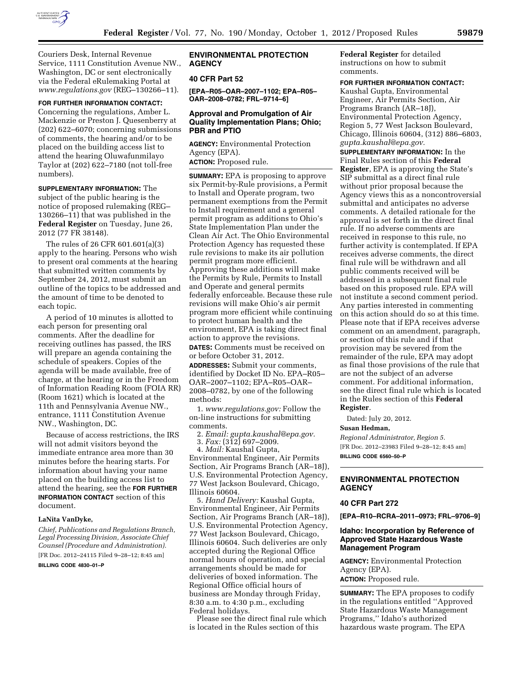

Couriers Desk, Internal Revenue Service, 1111 Constitution Avenue NW., Washington, DC or sent electronically via the Federal eRulemaking Portal at *[www.regulations.gov](http://www.regulations.gov)* (REG–130266–11).

#### **FOR FURTHER INFORMATION CONTACT:**

Concerning the regulations, Amber L. Mackenzie or Preston J. Quesenberry at (202) 622–6070; concerning submissions of comments, the hearing and/or to be placed on the building access list to attend the hearing Oluwafunmilayo Taylor at (202) 622–7180 (not toll-free numbers).

**SUPPLEMENTARY INFORMATION:** The subject of the public hearing is the notice of proposed rulemaking (REG– 130266–11) that was published in the **Federal Register** on Tuesday, June 26, 2012 (77 FR 38148).

The rules of 26 CFR 601.601(a)(3) apply to the hearing. Persons who wish to present oral comments at the hearing that submitted written comments by September 24, 2012, must submit an outline of the topics to be addressed and the amount of time to be denoted to each topic.

A period of 10 minutes is allotted to each person for presenting oral comments. After the deadline for receiving outlines has passed, the IRS will prepare an agenda containing the schedule of speakers. Copies of the agenda will be made available, free of charge, at the hearing or in the Freedom of Information Reading Room (FOIA RR) (Room 1621) which is located at the 11th and Pennsylvania Avenue NW., entrance, 1111 Constitution Avenue NW., Washington, DC.

Because of access restrictions, the IRS will not admit visitors beyond the immediate entrance area more than 30 minutes before the hearing starts. For information about having your name placed on the building access list to attend the hearing, see the **FOR FURTHER INFORMATION CONTACT** section of this document.

#### **LaNita VanDyke,**

*Chief, Publications and Regulations Branch, Legal Processing Division, Associate Chief Counsel (Procedure and Administration).* 

[FR Doc. 2012–24115 Filed 9–28–12; 8:45 am]

**BILLING CODE 4830–01–P** 

# **ENVIRONMENTAL PROTECTION AGENCY**

# **40 CFR Part 52**

**[EPA–R05–OAR–2007–1102; EPA–R05– OAR–2008–0782; FRL–9714–6]** 

#### **Approval and Promulgation of Air Quality Implementation Plans; Ohio; PBR and PTIO**

**AGENCY:** Environmental Protection Agency (EPA). **ACTION:** Proposed rule.

**SUMMARY:** EPA is proposing to approve six Permit-by-Rule provisions, a Permit to Install and Operate program, two permanent exemptions from the Permit to Install requirement and a general permit program as additions to Ohio's State Implementation Plan under the Clean Air Act. The Ohio Environmental Protection Agency has requested these rule revisions to make its air pollution permit program more efficient. Approving these additions will make the Permits by Rule, Permits to Install and Operate and general permits federally enforceable. Because these rule revisions will make Ohio's air permit program more efficient while continuing to protect human health and the environment, EPA is taking direct final action to approve the revisions. **DATES:** Comments must be received on or before October 31, 2012.

**ADDRESSES:** Submit your comments, identified by Docket ID No. EPA–R05– OAR–2007–1102; EPA–R05–OAR– 2008–0782, by one of the following methods:

1. *[www.regulations.gov:](http://www.regulations.gov)* Follow the on-line instructions for submitting comments.

2. *Email: [gupta.kaushal@epa.gov.](mailto:gupta.kaushal@epa.gov)* 

- 3. *Fax:* (312) 697–2009.
- 4. *Mail:* Kaushal Gupta,

Environmental Engineer, Air Permits Section, Air Programs Branch (AR–18J), U.S. Environmental Protection Agency, 77 West Jackson Boulevard, Chicago, Illinois 60604.

5. *Hand Delivery:* Kaushal Gupta, Environmental Engineer, Air Permits Section, Air Programs Branch (AR–18J), U.S. Environmental Protection Agency, 77 West Jackson Boulevard, Chicago, Illinois 60604. Such deliveries are only accepted during the Regional Office normal hours of operation, and special arrangements should be made for deliveries of boxed information. The Regional Office official hours of business are Monday through Friday, 8:30 a.m. to 4:30 p.m., excluding Federal holidays.

Please see the direct final rule which is located in the Rules section of this

**Federal Register** for detailed instructions on how to submit comments.

# **FOR FURTHER INFORMATION CONTACT:**

Kaushal Gupta, Environmental Engineer, Air Permits Section, Air Programs Branch (AR–18J), Environmental Protection Agency, Region 5, 77 West Jackson Boulevard, Chicago, Illinois 60604, (312) 886–6803, *[gupta.kaushal@epa.gov.](mailto:gupta.kaushal@epa.gov)* 

**SUPPLEMENTARY INFORMATION:** In the Final Rules section of this **Federal Register**, EPA is approving the State's SIP submittal as a direct final rule without prior proposal because the Agency views this as a noncontroversial submittal and anticipates no adverse comments. A detailed rationale for the approval is set forth in the direct final rule. If no adverse comments are received in response to this rule, no further activity is contemplated. If EPA receives adverse comments, the direct final rule will be withdrawn and all public comments received will be addressed in a subsequent final rule based on this proposed rule. EPA will not institute a second comment period. Any parties interested in commenting on this action should do so at this time. Please note that if EPA receives adverse comment on an amendment, paragraph, or section of this rule and if that provision may be severed from the remainder of the rule, EPA may adopt as final those provisions of the rule that are not the subject of an adverse comment. For additional information, see the direct final rule which is located in the Rules section of this **Federal Register**.

Dated: July 20, 2012.

#### **Susan Hedman,**

*Regional Administrator, Region 5.*  [FR Doc. 2012–23983 Filed 9–28–12; 8:45 am] **BILLING CODE 6560–50–P** 

### **ENVIRONMENTAL PROTECTION AGENCY**

#### **40 CFR Part 272**

**[EPA–R10–RCRA–2011–0973; FRL–9706–9]** 

### **Idaho: Incorporation by Reference of Approved State Hazardous Waste Management Program**

**AGENCY:** Environmental Protection Agency (EPA). **ACTION:** Proposed rule.

**SUMMARY:** The EPA proposes to codify in the regulations entitled ''Approved State Hazardous Waste Management Programs,'' Idaho's authorized hazardous waste program. The EPA